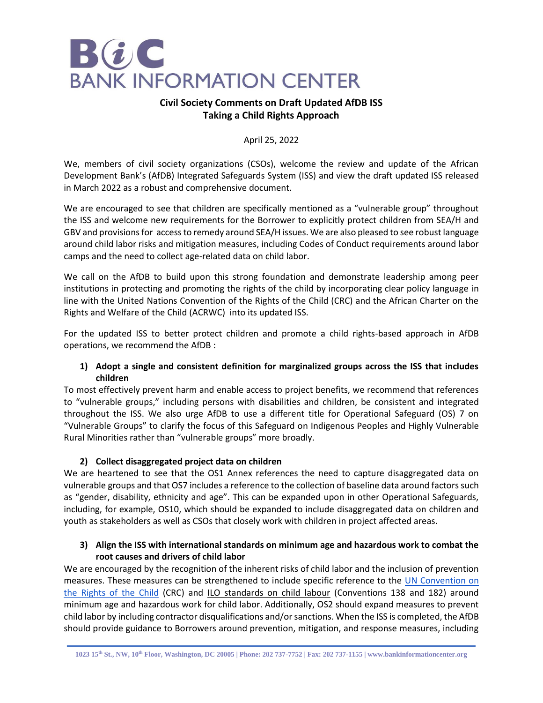

# **Civil Society Comments on Draft Updated AfDB ISS Taking a Child Rights Approach**

April 25, 2022

We, members of civil society organizations (CSOs), welcome the review and update of the African Development Bank's (AfDB) Integrated Safeguards System (ISS) and view the draft updated ISS released in March 2022 as a robust and comprehensive document.

We are encouraged to see that children are specifically mentioned as a "vulnerable group" throughout the ISS and welcome new requirements for the Borrower to explicitly protect children from SEA/H and GBV and provisions for access to remedy around SEA/H issues. We are also pleased to see robust language around child labor risks and mitigation measures, including Codes of Conduct requirements around labor camps and the need to collect age-related data on child labor.

We call on the AfDB to build upon this strong foundation and demonstrate leadership among peer institutions in protecting and promoting the rights of the child by incorporating clear policy language in line with the United Nations Convention of the Rights of the Child (CRC) and the African Charter on the Rights and Welfare of the Child (ACRWC) into its updated ISS.

For the updated ISS to better protect children and promote a child rights-based approach in AfDB operations, we recommend the AfDB :

# **1) Adopt a single and consistent definition for marginalized groups across the ISS that includes children**

To most effectively prevent harm and enable access to project benefits, we recommend that references to "vulnerable groups," including persons with disabilities and children, be consistent and integrated throughout the ISS. We also urge AfDB to use a different title for Operational Safeguard (OS) 7 on "Vulnerable Groups" to clarify the focus of this Safeguard on Indigenous Peoples and Highly Vulnerable Rural Minorities rather than "vulnerable groups" more broadly.

# **2) Collect disaggregated project data on children**

We are heartened to see that the OS1 Annex references the need to capture disaggregated data on vulnerable groups and that OS7 includes a reference to the collection of baseline data around factors such as "gender, disability, ethnicity and age". This can be expanded upon in other Operational Safeguards, including, for example, OS10, which should be expanded to include disaggregated data on children and youth as stakeholders as well as CSOs that closely work with children in project affected areas.

## **3) Align the ISS with international standards on minimum age and hazardous work to combat the root causes and drivers of child labor**

We are encouraged by the recognition of the inherent risks of child labor and the inclusion of prevention measures. These measures can be strengthened to include specific reference to the UN Convention on [the Rights of the Child](https://treaties.un.org/pages/ViewDetails.aspx?src=IND&mtdsg_no=IV-11&chapter=4&clang=_en) (CRC) and ILO [standards on child labour](https://www.ilo.org/global/standards/subjects-covered-by-international-labour-standards/child-labour/lang--en/index.htm) (Conventions 138 and 182) around minimum age and hazardous work for child labor. Additionally, OS2 should expand measures to prevent child labor by including contractor disqualifications and/or sanctions. When the ISS is completed, the AfDB should provide guidance to Borrowers around prevention, mitigation, and response measures, including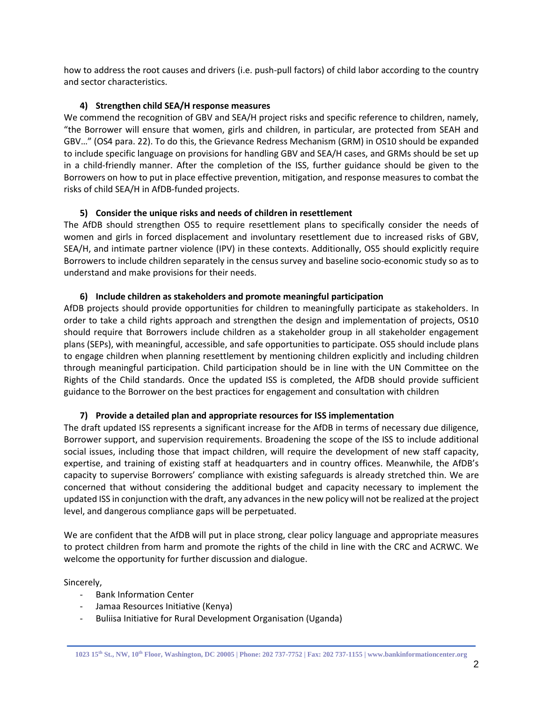how to address the root causes and drivers (i.e. push-pull factors) of child labor according to the country and sector characteristics.

## **4) Strengthen child SEA/H response measures**

We commend the recognition of GBV and SEA/H project risks and specific reference to children, namely, "the Borrower will ensure that women, girls and children, in particular, are protected from SEAH and GBV…" (OS4 para. 22). To do this, the Grievance Redress Mechanism (GRM) in OS10 should be expanded to include specific language on provisions for handling GBV and SEA/H cases, and GRMs should be set up in a child-friendly manner. After the completion of the ISS, further guidance should be given to the Borrowers on how to put in place effective prevention, mitigation, and response measures to combat the risks of child SEA/H in AfDB-funded projects.

## **5) Consider the unique risks and needs of children in resettlement**

The AfDB should strengthen OS5 to require resettlement plans to specifically consider the needs of women and girls in forced displacement and involuntary resettlement due to increased risks of GBV, SEA/H, and intimate partner violence (IPV) in these contexts. Additionally, OS5 should explicitly require Borrowers to include children separately in the census survey and baseline socio-economic study so as to understand and make provisions for their needs.

## **6) Include children as stakeholders and promote meaningful participation**

AfDB projects should provide opportunities for children to meaningfully participate as stakeholders. In order to take a child rights approach and strengthen the design and implementation of projects, OS10 should require that Borrowers include children as a stakeholder group in all stakeholder engagement plans (SEPs), with meaningful, accessible, and safe opportunities to participate. OS5 should include plans to engage children when planning resettlement by mentioning children explicitly and including children through meaningful participation. Child participation should be in line with the UN Committee on the Rights of the Child standards. Once the updated ISS is completed, the AfDB should provide sufficient guidance to the Borrower on the best practices for engagement and consultation with children

# **7) Provide a detailed plan and appropriate resources for ISS implementation**

The draft updated ISS represents a significant increase for the AfDB in terms of necessary due diligence, Borrower support, and supervision requirements. Broadening the scope of the ISS to include additional social issues, including those that impact children, will require the development of new staff capacity, expertise, and training of existing staff at headquarters and in country offices. Meanwhile, the AfDB's capacity to supervise Borrowers' compliance with existing safeguards is already stretched thin. We are concerned that without considering the additional budget and capacity necessary to implement the updated ISS in conjunction with the draft, any advances in the new policy will not be realized at the project level, and dangerous compliance gaps will be perpetuated.

We are confident that the AfDB will put in place strong, clear policy language and appropriate measures to protect children from harm and promote the rights of the child in line with the CRC and ACRWC. We welcome the opportunity for further discussion and dialogue.

Sincerely,

- Bank Information Center
- Jamaa Resources Initiative (Kenya)
- Buliisa Initiative for Rural Development Organisation (Uganda)